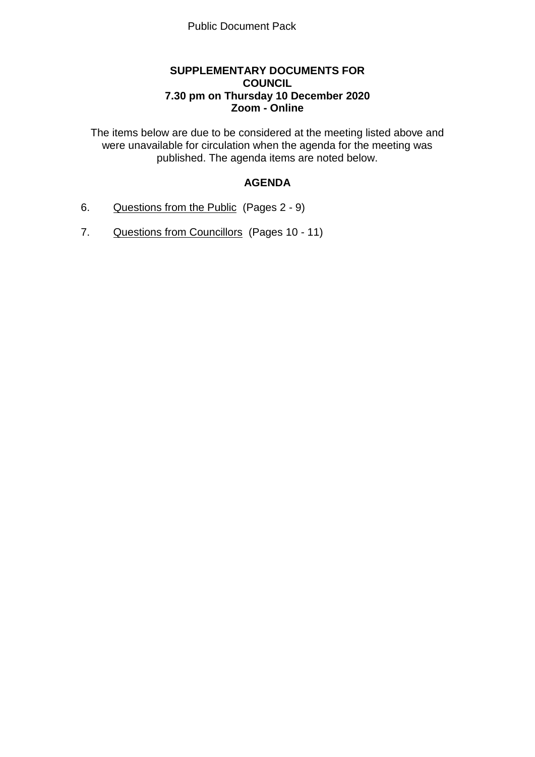#### **SUPPLEMENTARY DOCUMENTS FOR COUNCIL 7.30 pm on Thursday 10 December 2020 Zoom - Online**

The items below are due to be considered at the meeting listed above and were unavailable for circulation when the agenda for the meeting was published. The agenda items are noted below.

# **AGENDA**

- 6. Questions from the Public (Pages 2 9)
- 7. Questions from Councillors (Pages 10 11)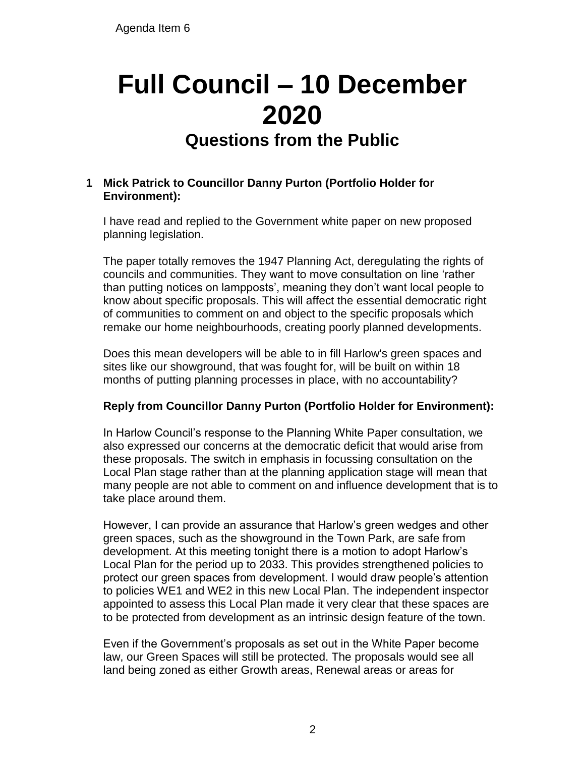# **Full Council – 10 December 2020 Questions from the Public**

#### **1 Mick Patrick to Councillor Danny Purton (Portfolio Holder for Environment):**

I have read and replied to the Government white paper on new proposed planning legislation.

The paper totally removes the 1947 Planning Act, deregulating the rights of councils and communities. They want to move consultation on line 'rather than putting notices on lampposts', meaning they don't want local people to know about specific proposals. This will affect the essential democratic right of communities to comment on and object to the specific proposals which remake our home neighbourhoods, creating poorly planned developments.

Does this mean developers will be able to in fill Harlow's green spaces and sites like our showground, that was fought for, will be built on within 18 months of putting planning processes in place, with no accountability?

# **Reply from Councillor Danny Purton (Portfolio Holder for Environment):**

In Harlow Council's response to the Planning White Paper consultation, we also expressed our concerns at the democratic deficit that would arise from these proposals. The switch in emphasis in focussing consultation on the Local Plan stage rather than at the planning application stage will mean that many people are not able to comment on and influence development that is to take place around them.

However, I can provide an assurance that Harlow's green wedges and other green spaces, such as the showground in the Town Park, are safe from development. At this meeting tonight there is a motion to adopt Harlow's Local Plan for the period up to 2033. This provides strengthened policies to protect our green spaces from development. I would draw people's attention to policies WE1 and WE2 in this new Local Plan. The independent inspector appointed to assess this Local Plan made it very clear that these spaces are to be protected from development as an intrinsic design feature of the town.

Even if the Government's proposals as set out in the White Paper become law, our Green Spaces will still be protected. The proposals would see all land being zoned as either Growth areas, Renewal areas or areas for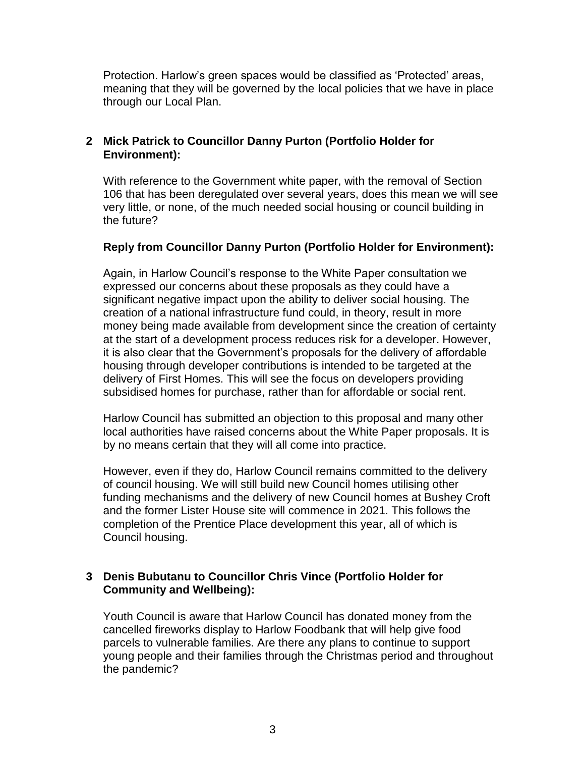Protection. Harlow's green spaces would be classified as 'Protected' areas, meaning that they will be governed by the local policies that we have in place through our Local Plan.

#### **2 Mick Patrick to Councillor Danny Purton (Portfolio Holder for Environment):**

With reference to the Government white paper, with the removal of Section 106 that has been deregulated over several years, does this mean we will see very little, or none, of the much needed social housing or council building in the future?

#### **Reply from Councillor Danny Purton (Portfolio Holder for Environment):**

Again, in Harlow Council's response to the White Paper consultation we expressed our concerns about these proposals as they could have a significant negative impact upon the ability to deliver social housing. The creation of a national infrastructure fund could, in theory, result in more money being made available from development since the creation of certainty at the start of a development process reduces risk for a developer. However, it is also clear that the Government's proposals for the delivery of affordable housing through developer contributions is intended to be targeted at the delivery of First Homes. This will see the focus on developers providing subsidised homes for purchase, rather than for affordable or social rent.

Harlow Council has submitted an objection to this proposal and many other local authorities have raised concerns about the White Paper proposals. It is by no means certain that they will all come into practice.

However, even if they do, Harlow Council remains committed to the delivery of council housing. We will still build new Council homes utilising other funding mechanisms and the delivery of new Council homes at Bushey Croft and the former Lister House site will commence in 2021. This follows the completion of the Prentice Place development this year, all of which is Council housing.

#### **3 Denis Bubutanu to Councillor Chris Vince (Portfolio Holder for Community and Wellbeing):**

Youth Council is aware that Harlow Council has donated money from the cancelled fireworks display to Harlow Foodbank that will help give food parcels to vulnerable families. Are there any plans to continue to support young people and their families through the Christmas period and throughout the pandemic?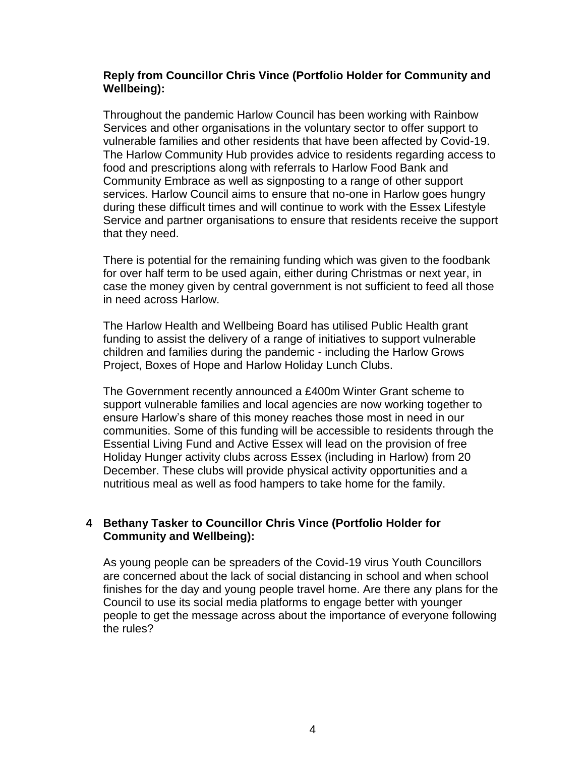#### **Reply from Councillor Chris Vince (Portfolio Holder for Community and Wellbeing):**

Throughout the pandemic Harlow Council has been working with Rainbow Services and other organisations in the voluntary sector to offer support to vulnerable families and other residents that have been affected by Covid-19. The Harlow Community Hub provides advice to residents regarding access to food and prescriptions along with referrals to Harlow Food Bank and Community Embrace as well as signposting to a range of other support services. Harlow Council aims to ensure that no-one in Harlow goes hungry during these difficult times and will continue to work with the Essex Lifestyle Service and partner organisations to ensure that residents receive the support that they need.

There is potential for the remaining funding which was given to the foodbank for over half term to be used again, either during Christmas or next year, in case the money given by central government is not sufficient to feed all those in need across Harlow.

The Harlow Health and Wellbeing Board has utilised Public Health grant funding to assist the delivery of a range of initiatives to support vulnerable children and families during the pandemic - including the Harlow Grows Project, Boxes of Hope and Harlow Holiday Lunch Clubs.

The Government recently announced a £400m Winter Grant scheme to support vulnerable families and local agencies are now working together to ensure Harlow's share of this money reaches those most in need in our communities. Some of this funding will be accessible to residents through the Essential Living Fund and Active Essex will lead on the provision of free Holiday Hunger activity clubs across Essex (including in Harlow) from 20 December. These clubs will provide physical activity opportunities and a nutritious meal as well as food hampers to take home for the family.

#### **4 Bethany Tasker to Councillor Chris Vince (Portfolio Holder for Community and Wellbeing):**

As young people can be spreaders of the Covid-19 virus Youth Councillors are concerned about the lack of social distancing in school and when school finishes for the day and young people travel home. Are there any plans for the Council to use its social media platforms to engage better with younger people to get the message across about the importance of everyone following the rules?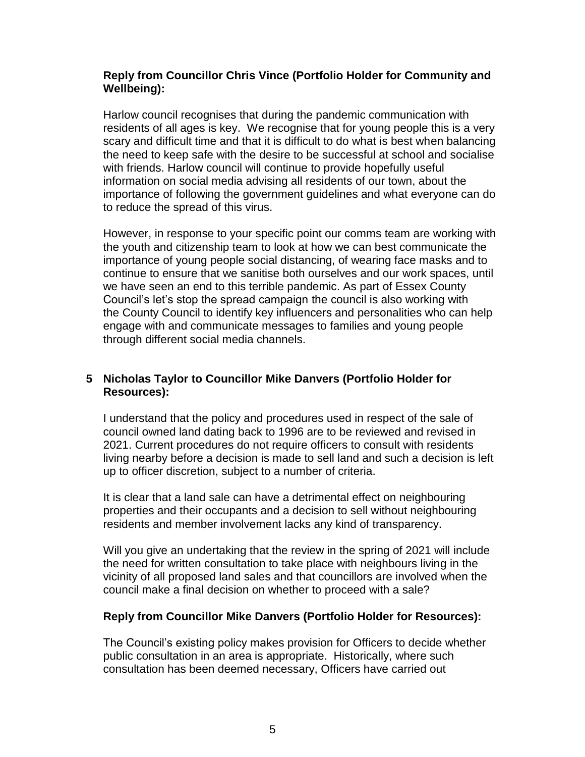#### **Reply from Councillor Chris Vince (Portfolio Holder for Community and Wellbeing):**

Harlow council recognises that during the pandemic communication with residents of all ages is key. We recognise that for young people this is a very scary and difficult time and that it is difficult to do what is best when balancing the need to keep safe with the desire to be successful at school and socialise with friends. Harlow council will continue to provide hopefully useful information on social media advising all residents of our town, about the importance of following the government guidelines and what everyone can do to reduce the spread of this virus.

However, in response to your specific point our comms team are working with the youth and citizenship team to look at how we can best communicate the importance of young people social distancing, of wearing face masks and to continue to ensure that we sanitise both ourselves and our work spaces, until we have seen an end to this terrible pandemic. As part of Essex County Council's let's stop the spread campaign the council is also working with the County Council to identify key influencers and personalities who can help engage with and communicate messages to families and young people through different social media channels.

#### **5 Nicholas Taylor to Councillor Mike Danvers (Portfolio Holder for Resources):**

I understand that the policy and procedures used in respect of the sale of council owned land dating back to 1996 are to be reviewed and revised in 2021. Current procedures do not require officers to consult with residents living nearby before a decision is made to sell land and such a decision is left up to officer discretion, subject to a number of criteria.

It is clear that a land sale can have a detrimental effect on neighbouring properties and their occupants and a decision to sell without neighbouring residents and member involvement lacks any kind of transparency.

Will you give an undertaking that the review in the spring of 2021 will include the need for written consultation to take place with neighbours living in the vicinity of all proposed land sales and that councillors are involved when the council make a final decision on whether to proceed with a sale?

#### **Reply from Councillor Mike Danvers (Portfolio Holder for Resources):**

The Council's existing policy makes provision for Officers to decide whether public consultation in an area is appropriate. Historically, where such consultation has been deemed necessary, Officers have carried out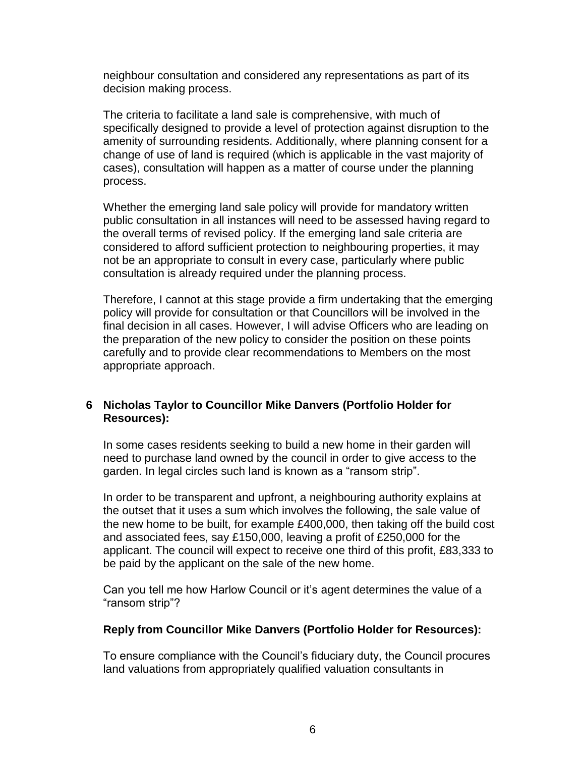neighbour consultation and considered any representations as part of its decision making process.

The criteria to facilitate a land sale is comprehensive, with much of specifically designed to provide a level of protection against disruption to the amenity of surrounding residents. Additionally, where planning consent for a change of use of land is required (which is applicable in the vast majority of cases), consultation will happen as a matter of course under the planning process.

Whether the emerging land sale policy will provide for mandatory written public consultation in all instances will need to be assessed having regard to the overall terms of revised policy. If the emerging land sale criteria are considered to afford sufficient protection to neighbouring properties, it may not be an appropriate to consult in every case, particularly where public consultation is already required under the planning process.

Therefore, I cannot at this stage provide a firm undertaking that the emerging policy will provide for consultation or that Councillors will be involved in the final decision in all cases. However, I will advise Officers who are leading on the preparation of the new policy to consider the position on these points carefully and to provide clear recommendations to Members on the most appropriate approach.

#### **6 Nicholas Taylor to Councillor Mike Danvers (Portfolio Holder for Resources):**

In some cases residents seeking to build a new home in their garden will need to purchase land owned by the council in order to give access to the garden. In legal circles such land is known as a "ransom strip".

In order to be transparent and upfront, a neighbouring authority explains at the outset that it uses a sum which involves the following, the sale value of the new home to be built, for example £400,000, then taking off the build cost and associated fees, say £150,000, leaving a profit of £250,000 for the applicant. The council will expect to receive one third of this profit, £83,333 to be paid by the applicant on the sale of the new home.

Can you tell me how Harlow Council or it's agent determines the value of a "ransom strip"?

#### **Reply from Councillor Mike Danvers (Portfolio Holder for Resources):**

To ensure compliance with the Council's fiduciary duty, the Council procures land valuations from appropriately qualified valuation consultants in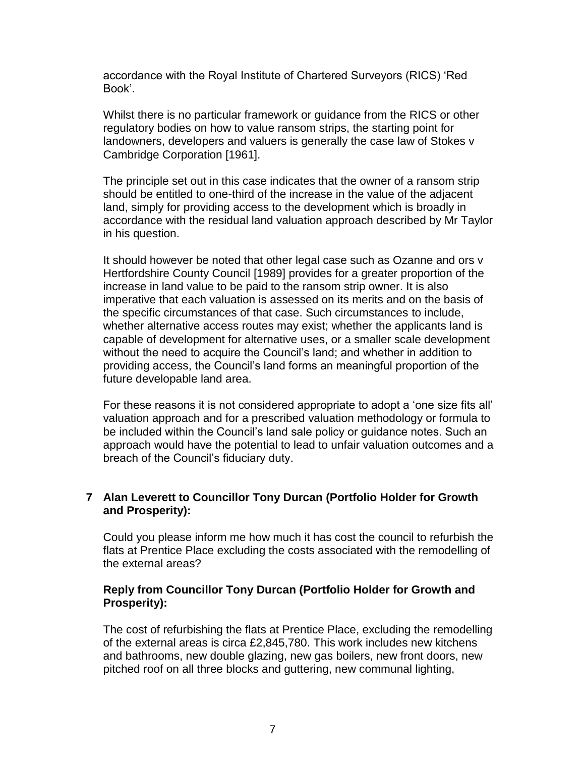accordance with the Royal Institute of Chartered Surveyors (RICS) 'Red Book'.

Whilst there is no particular framework or guidance from the RICS or other regulatory bodies on how to value ransom strips, the starting point for landowners, developers and valuers is generally the case law of Stokes v Cambridge Corporation [1961].

The principle set out in this case indicates that the owner of a ransom strip should be entitled to one-third of the increase in the value of the adjacent land, simply for providing access to the development which is broadly in accordance with the residual land valuation approach described by Mr Taylor in his question.

It should however be noted that other legal case such as Ozanne and ors v Hertfordshire County Council [1989] provides for a greater proportion of the increase in land value to be paid to the ransom strip owner. It is also imperative that each valuation is assessed on its merits and on the basis of the specific circumstances of that case. Such circumstances to include, whether alternative access routes may exist; whether the applicants land is capable of development for alternative uses, or a smaller scale development without the need to acquire the Council's land; and whether in addition to providing access, the Council's land forms an meaningful proportion of the future developable land area.

For these reasons it is not considered appropriate to adopt a 'one size fits all' valuation approach and for a prescribed valuation methodology or formula to be included within the Council's land sale policy or guidance notes. Such an approach would have the potential to lead to unfair valuation outcomes and a breach of the Council's fiduciary duty.

#### **7 Alan Leverett to Councillor Tony Durcan (Portfolio Holder for Growth and Prosperity):**

Could you please inform me how much it has cost the council to refurbish the flats at Prentice Place excluding the costs associated with the remodelling of the external areas?

#### **Reply from Councillor Tony Durcan (Portfolio Holder for Growth and Prosperity):**

The cost of refurbishing the flats at Prentice Place, excluding the remodelling of the external areas is circa £2,845,780. This work includes new kitchens and bathrooms, new double glazing, new gas boilers, new front doors, new pitched roof on all three blocks and guttering, new communal lighting,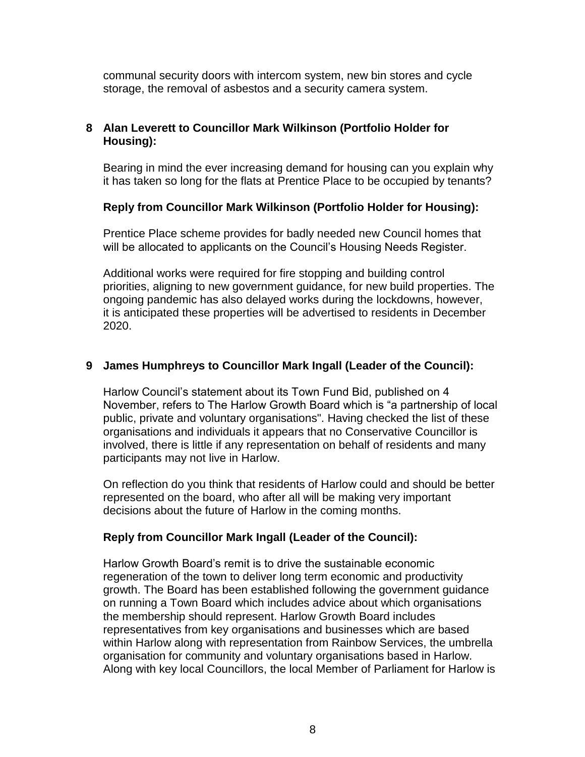communal security doors with intercom system, new bin stores and cycle storage, the removal of asbestos and a security camera system.

# **8 Alan Leverett to Councillor Mark Wilkinson (Portfolio Holder for Housing):**

Bearing in mind the ever increasing demand for housing can you explain why it has taken so long for the flats at Prentice Place to be occupied by tenants?

#### **Reply from Councillor Mark Wilkinson (Portfolio Holder for Housing):**

Prentice Place scheme provides for badly needed new Council homes that will be allocated to applicants on the Council's Housing Needs Register.

Additional works were required for fire stopping and building control priorities, aligning to new government guidance, for new build properties. The ongoing pandemic has also delayed works during the lockdowns, however, it is anticipated these properties will be advertised to residents in December 2020.

# **9 James Humphreys to Councillor Mark Ingall (Leader of the Council):**

Harlow Council's statement about its Town Fund Bid, published on 4 November, refers to The Harlow Growth Board which is "a partnership of local public, private and voluntary organisations". Having checked the list of these organisations and individuals it appears that no Conservative Councillor is involved, there is little if any representation on behalf of residents and many participants may not live in Harlow.

On reflection do you think that residents of Harlow could and should be better represented on the board, who after all will be making very important decisions about the future of Harlow in the coming months.

#### **Reply from Councillor Mark Ingall (Leader of the Council):**

Harlow Growth Board's remit is to drive the sustainable economic regeneration of the town to deliver long term economic and productivity growth. The Board has been established following the government guidance on running a Town Board which includes advice about which organisations the membership should represent. Harlow Growth Board includes representatives from key organisations and businesses which are based within Harlow along with representation from Rainbow Services, the umbrella organisation for community and voluntary organisations based in Harlow. Along with key local Councillors, the local Member of Parliament for Harlow is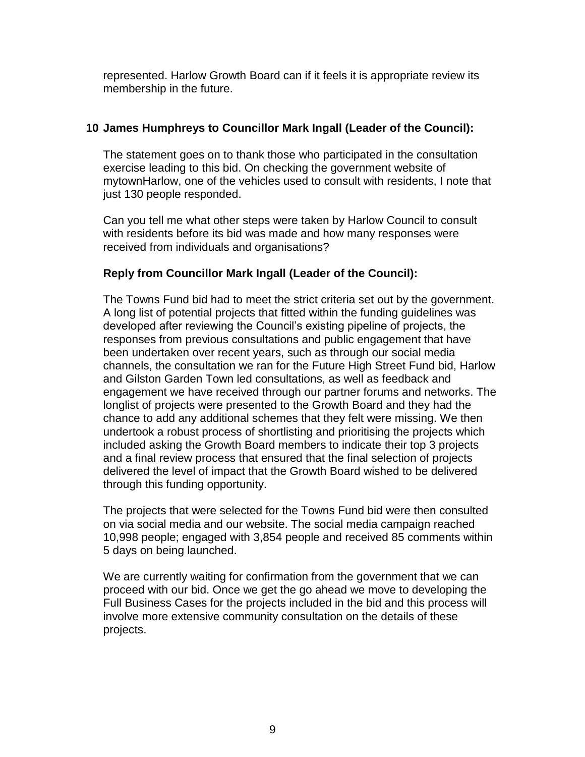represented. Harlow Growth Board can if it feels it is appropriate review its membership in the future.

#### **10 James Humphreys to Councillor Mark Ingall (Leader of the Council):**

The statement goes on to thank those who participated in the consultation exercise leading to this bid. On checking the government website of mytownHarlow, one of the vehicles used to consult with residents, I note that just 130 people responded.

Can you tell me what other steps were taken by Harlow Council to consult with residents before its bid was made and how many responses were received from individuals and organisations?

# **Reply from Councillor Mark Ingall (Leader of the Council):**

The Towns Fund bid had to meet the strict criteria set out by the government. A long list of potential projects that fitted within the funding guidelines was developed after reviewing the Council's existing pipeline of projects, the responses from previous consultations and public engagement that have been undertaken over recent years, such as through our social media channels, the consultation we ran for the Future High Street Fund bid, Harlow and Gilston Garden Town led consultations, as well as feedback and engagement we have received through our partner forums and networks. The longlist of projects were presented to the Growth Board and they had the chance to add any additional schemes that they felt were missing. We then undertook a robust process of shortlisting and prioritising the projects which included asking the Growth Board members to indicate their top 3 projects and a final review process that ensured that the final selection of projects delivered the level of impact that the Growth Board wished to be delivered through this funding opportunity.

The projects that were selected for the Towns Fund bid were then consulted on via social media and our website. The social media campaign reached 10,998 people; engaged with 3,854 people and received 85 comments within 5 days on being launched.

We are currently waiting for confirmation from the government that we can proceed with our bid. Once we get the go ahead we move to developing the Full Business Cases for the projects included in the bid and this process will involve more extensive community consultation on the details of these projects.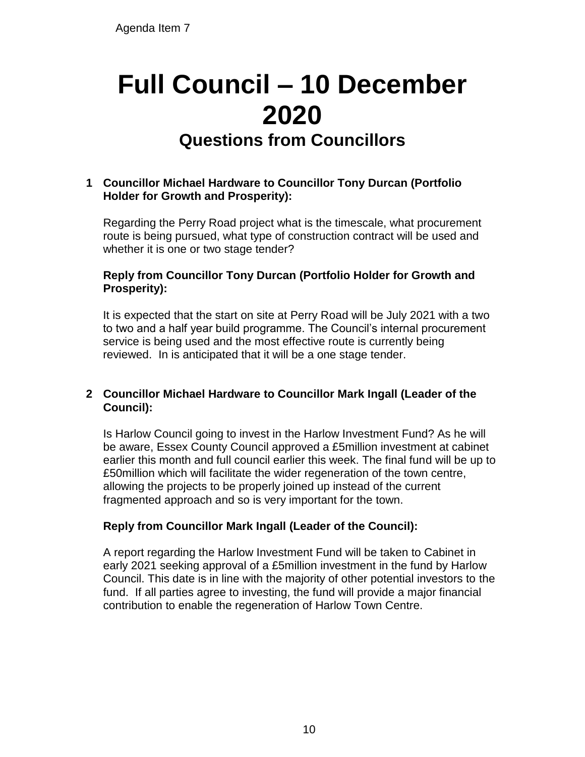# **Full Council – 10 December 2020 Questions from Councillors**  Agenda Item 7<br> **Full Council — 2020**<br> **Cuestions from (2020**<br> **Cuestions from 1**<br> **Cuestions from 1**<br> **Cuestions from 1**<br> **Cuestions from 1**<br> **Cuestions from 1**<br> **Cuestions from 1**<br> **Cuestions from 1**<br> **Cuestions from 1**<br>

# **1 Councillor Michael Hardware to Councillor Tony Durcan (Portfolio Holder for Growth and Prosperity):**

Regarding the Perry Road project what is the timescale, what procurement route is being pursued, what type of construction contract will be used and whether it is one or two stage tender?

#### **Reply from Councillor Tony Durcan (Portfolio Holder for Growth and Prosperity):**

It is expected that the start on site at Perry Road will be July 2021 with a two to two and a half year build programme. The Council's internal procurement service is being used and the most effective route is currently being reviewed. In is anticipated that it will be a one stage tender.

#### **2 Councillor Michael Hardware to Councillor Mark Ingall (Leader of the Council):**

Is Harlow Council going to invest in the Harlow Investment Fund? As he will be aware, Essex County Council approved a £5million investment at cabinet earlier this month and full council earlier this week. The final fund will be up to £50million which will facilitate the wider regeneration of the town centre, allowing the projects to be properly joined up instead of the current fragmented approach and so is very important for the town.

# **Reply from Councillor Mark Ingall (Leader of the Council):**

A report regarding the Harlow Investment Fund will be taken to Cabinet in early 2021 seeking approval of a £5million investment in the fund by Harlow Council. This date is in line with the majority of other potential investors to the fund. If all parties agree to investing, the fund will provide a major financial contribution to enable the regeneration of Harlow Town Centre.